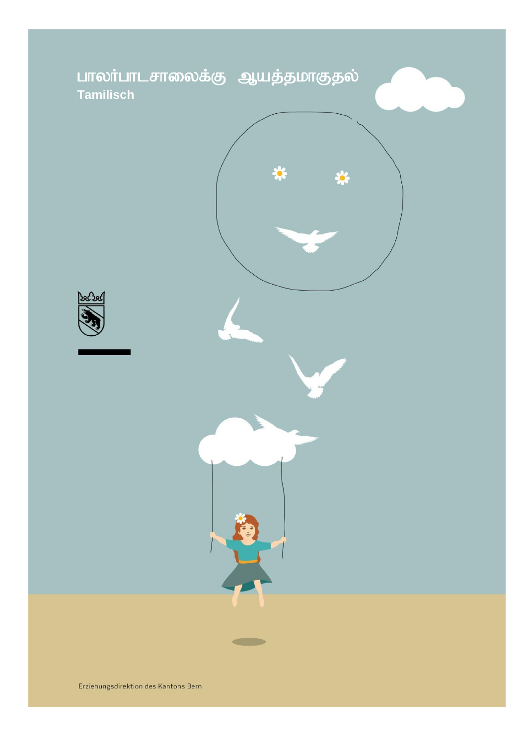

Erziehungsdirektion des Kantons Bern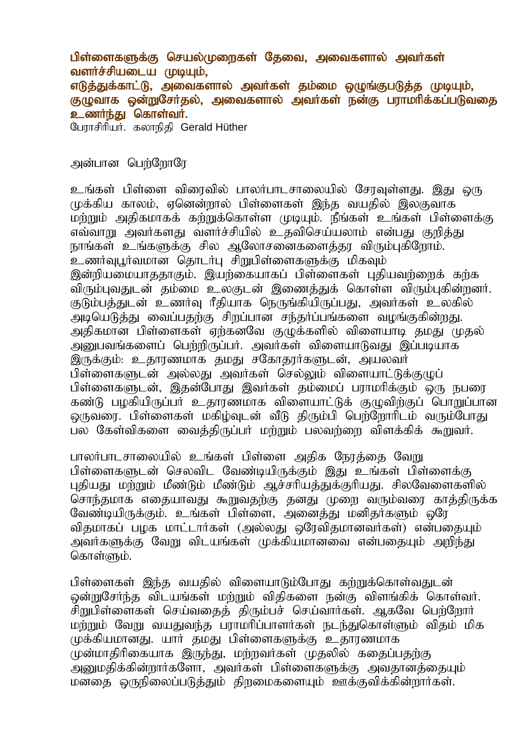#### பிள்ளைகளுக்கு செயல்முறைகள் தேவை, அவைகளால் அவர்கள் வளர்ச்சியடைய முடியும்.

எடுத்துக்காட்டு, அவைகளால் அவர்கள் தம்மை ஒழுங்குபடுத்த முடியும், குழுவாக ஒன்றுசேர்தல், அவைகளால் அவர்கள் நன்கு பராமரிக்கப்படுவதை உணர்ந்து கொள்வர்.

பேராசிரியர். கலாநிதி Gerald Hüther

#### அன்பான பெற்றோரே

உங்கள் பிள்ளை விரைவில் பாலர்பாடசாலையில் சோவுள்ளது. இது ஒரு முக்கிய காலம், ஏனென்றால் பிள்ளைகள் இந்த வயதில் இலகுவாக மற்றும் அதிகமாகக் கற்றுக்கொள்ள முடியும். நீங்கள் உங்கள் பிள்ளைக்கு எவ்வாறு அவர்களது வளர்ச்சியில் உதவிசெய்யலாம் என்பது குறித்து நாங்கள் உங்களுக்கு சில ஆலோசனைகளைத்தர விரும்புகிறோம். .<br>உணர்வபர்வமான கொடர்ப சிறுபிள்ளைகளுக்கு மிகவம் இன்றியமையாததாகும். இயற்கையாகப் பிள்ளைகள் பதியவற்றைக் கற்க .<br>விரும்புவதுடன் தம்மை உலகுடன் இணைத்துக் கொள்ள விரும்புகின்றனர். குடும்பத்துடன் உணர்வு ரீதியாக நெருங்கியிருப்பது, அவர்கள் உலகில் அடியெடுத்து வைப்பதற்கு சிறப்பான சந்தர்ப்பங்களை வழங்குகின்றது. அதிகமான பிள்ளைகள் ஏற்கனவே குழுக்களில் விளையாடி தமது முதல் அனுபவங்களைப் பெற்றிருப்பர். அவர்கள் விளையாடுவது இப்படியாக இருக்கும்: உதாரணமாக தமது சகோதரர்களுடன், அயலவர் பிள்ளைகளுடன் அல்லது அவர்கள் செல்லும் விளையாட்டுக்குழுப் பிள்ளைகளுடன், இதன்போது இவர்கள் தம்மைப் பராமரிக்கும் ஒரு நபரை கண்டு பழகியிருப்பர் உதாரணமாக விளையாட்டுக் குமுவிற்குப் பொறுப்பான ஒருவரை. பிள்ளைகள் மகிழ்வுடன் வீடு திரும்பி பெற்றோரிடம் வரும்போது பல கேள்விகளை வைத்திருப்பர் மற்றும் பலவற்றை விளக்கிக் கூறுவர்.

பாலர்பாடசாலையில் உங்கள் பிள்ளை அதிக நேரத்தை வேறு பிள்ளைகளுடன் செலவிட வேண்டியிருக்கும் இது உங்கள் பிள்ளைக்கு புதியது மற்றும் மீண்டும் மீண்டும் ஆச்சரியத்துக்குரியது. சிலவேளைகளில் சொந்தமாக எதையாவது கூறுவதற்கு தனது முறை வரும்வரை காத்திருக்க வேண்டியிருக்கும். உங்கள் பிள்ளை, அனைத்து மனிதர்களும் ஒரே விகமாகப் பமக மாட்டார்கள் (அல்லகு ஒரேவிகமானவர்கள்) என்பகையம் அவர்களுக்கு வேறு விடயங்கள் முக்கியமானவை என்பதையும் அறிந்து கொள்ளும்.

பிள்ளைகள் இந்த வயதில் விளையாடும்போது கற்றுக்கொள்வதுடன் ஒன்றுசோந்த விடயங்கள் மற்றும் விதிகளை நன்கு விளங்கிக் கொள்வா். சிறுபிள்ளைகள் செய்வதைத் திரும்பச் செய்வார்கள். ஆகவே பெற்றோர் மற்றும் வேறு வயதுவந்த பராமரிப்பாளர்கள் நடந்துகொள்ளும் விதம் மிக முக்கியமானது. யார் தமது பிள்ளைகளுக்கு உதாரணமாக முன்மாதிரிகையாக இருந்து, மற்றவர்கள் முதலில் கதைப்பதற்கு அனுமதிக்கின்றார்களோ, அவர்கள் பிள்ளைகளுக்கு அவதானத்தையும் மனதை ஒருநிலைப்படுத்தும் திறமைகளையும் ஊக்குவிக்கின்றார்கள்.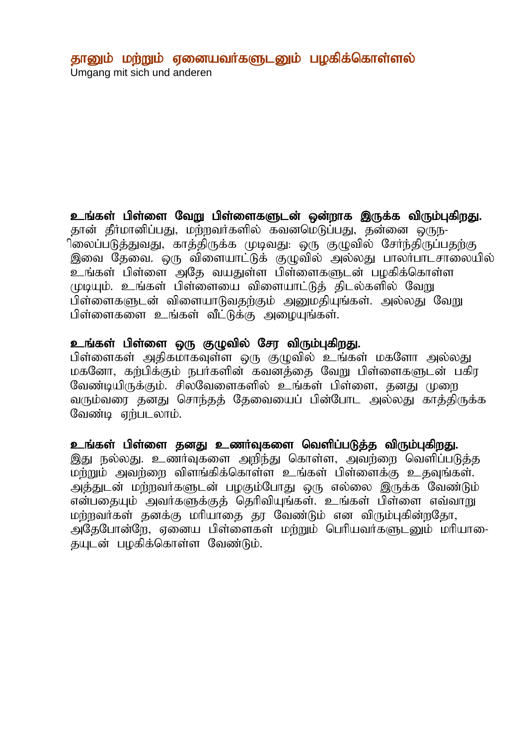# உங்கள் பிள்ளை வேறு பிள்ளைகளுடன் ஒன்றாக இருக்க விரும்புகிறது.

தான் தீர்மானிப்பது, மற்றவர்களில் கவனமெடுப்பது, தன்னை ஒருந-ிலைப்படுத்துவது, காத்திருக்க முடிவது: ஒரு குழுவில் சோ்ந்திருப்பதற்கு இவை தேவை. ஒரு விளையாட்டுக் குழுவில் அல்லது பாலா்பாடசாலையில் உங்கள் பிள்ளை அதே வயதுள்ள பிள்ளைகளுடன் பழகிக்கொள்ள முடியும். உங்கள் பிள்ளையை விளையாட்டுக் திடல்களில் வேறு .<br>பிள்ளைகளுடன் விளையாடுவதற்கும் அனுமதியுங்கள். அல்லது வேறு பிள்ளைகளை உங்கள் வீட்டுக்கு அழையுங்கள்.

#### உங்கள் பிள்ளை ஒரு குழுவில் சேர விரும்புகிறது.

பிள்ளைகள் அதிகமாகவுள்ள ஒரு குழுவில் உங்கள் மகளோ அல்லது மகனோ, கற்பிக்கும் நபர்களின் கவனத்தை வேறு பிள்ளைகளுடன் பகிர வேண்டியிருக்கும். சிலவேளைகளில் உங்கள் பிள்ளை, கனகு முளை வரும்வரை தனது சொந்தத் தேவையைப் பின்போட அல்லது காத்திருக்க வேண்டி எர்படலாம்.

# உங்கள் பிள்ளை தனது உணர்வுகளை வெளிப்படுத்த விரும்புகிறது.

இது நல்லது. உணர்வுகளை அறிந்து கொள்ள, அவற்றை வெளிப்படுத்த .<br>மற்றும் அவற்றை விளங்கிக்கொள்ள உங்கள் பிள்ளைக்கு உதவுங்கள். அத்துடன் மற்றவர்களுடன் பழகும்போது ஒரு எல்லை இருக்க வேண்டும் என்பதையும் அவர்களுக்குத் தெரிவியுங்கள். உங்கள் பிள்ளை எவ்வாறு மற்றவர்கள் தனக்கு மரியாதை தர வேண்டும் என விரும்புகின்றதோ, அதேபோன்றே, ஏனைய பிள்ளைகள் மற்றும் பெரியவர்களுடனும் மரியாை குயுடன் பழகிக்கொள்ள வேண்டும்.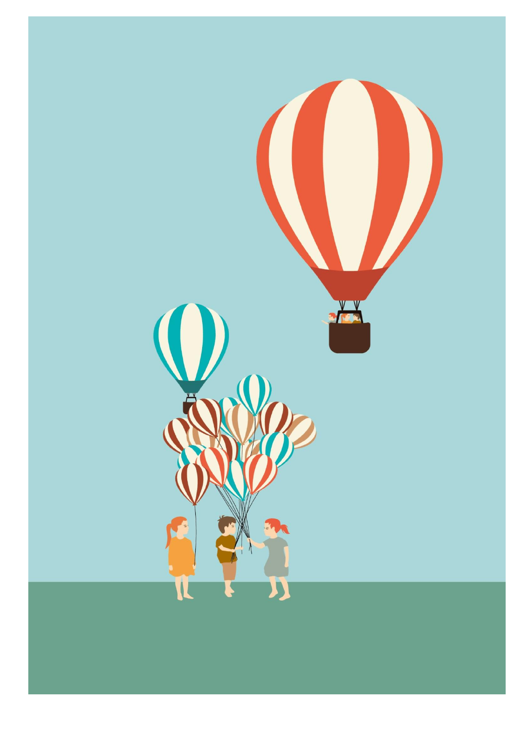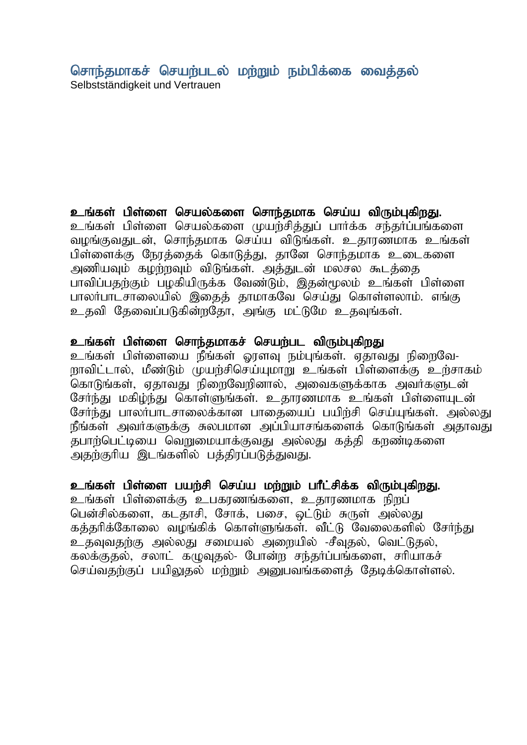# உங்கள் பிள்ளை செயல்களை சொந்தமாக செய்ய விரும்புகிறது.

உங்கள் பிள்ளை செயல்களை முயற்சித்துப் பார்க்க சந்தர்ப்பங்களை வழங்குவதுடன், சொந்தமாக செய்ய விடுங்கள். உதாரணமாக உங்கள் பிள்ளைக்கு நேரத்தைக் கொடுத்து, தானே சொந்தமாக உடைகளை அணியவும் கழற்றவும் விடுங்கள். அத்துடன் மலசல கூடத்தை பாவிப்பதற்கும் பழகியிருக்க வேண்டும், இதன்மூலம் உங்கள் பிள்ளை பாலர்பாடசாலையில் இதைத் தாமாகவே செய்து கொள்ளலாம். எங்கு உதவி தேவைப்படுகின்றதோ, அங்கு மட்டுமே உதவுங்கள்.

# உங்கள் பிள்ளை சொந்தமாகச் செயற்பட விரும்புகிறது

உங்கள் பிள்ளையை நீங்கள் ஓரளவு நம்புங்கள். ஏதாவது நிறைவே-றாவிட்டால், மீண்டும் முயற்சிசெய்யுமாறு உங்கள் பிள்ளைக்கு உற்சாகம் .<br>கொடுங்கள், ஏதாவது நிறைவேறினால், அவைகளுக்காக அவர்களுடன் சேர்ந்து மகிழ்ந்து கொள்ளுங்கள். உதாரணமாக உங்கள் பிள்ளையுடன் சேர்ந்து பாலர்பாடசாலைக்கான பாதையைப் பயிற்சி செய்யுங்கள். அல்லது நீங்கள் அவர்களுக்கு சுலபமான அப்பியாசங்களைக் கொடுங்கள் அதாவது .<br>தபாற்பெட்டியை வெறுமையாக்குவது அல்லது கத்தி கறண்டிகளை .<br>அதற்குரிய இடங்களில் பத்திரப்படுத்துவது.

# உங்கள் பிள்ளை பயற்சி செய்ய மற்றும் பரீட்சிக்க விரும்புகிறது.

உங்கள் பிள்ளைக்கு உபகரணங்களை, உதாரணமாக நிறப் பென்சில்களை, கடதாசி, சோக், பசை, ஒட்டும் சுருள் அல்லது கத்தரிக்கோலை வழங்கிக் கொள்ளுங்கள். வீட்டு வேலைகளில் சேர்ந்து ் :<br>உதவுவதற்கு அல்லது சமையல் அறையில் -சீவுதல், வெட்டுதல், ்கலக்குதல், சலாட் கமுவுதல்- போன்ற சந்தர்ப்பங்களை, சரியாகச் செய்வதற்குப் பயிலுதல் மற்றும் அனுபவங்களைத் தேடிக்கொள்ளல்.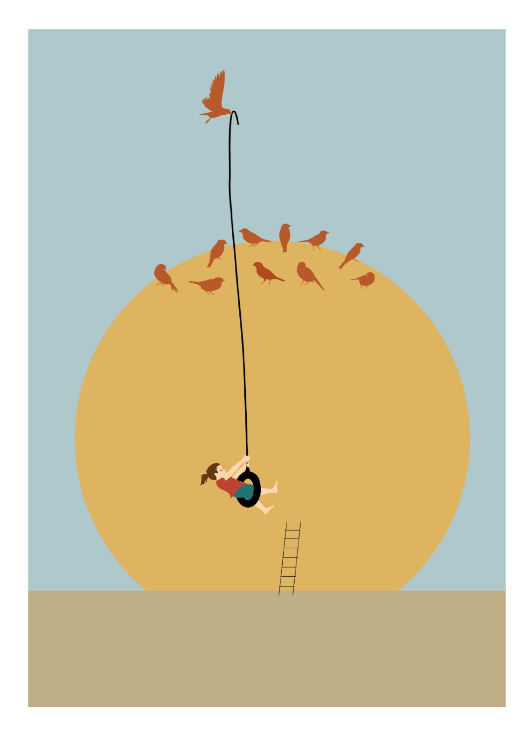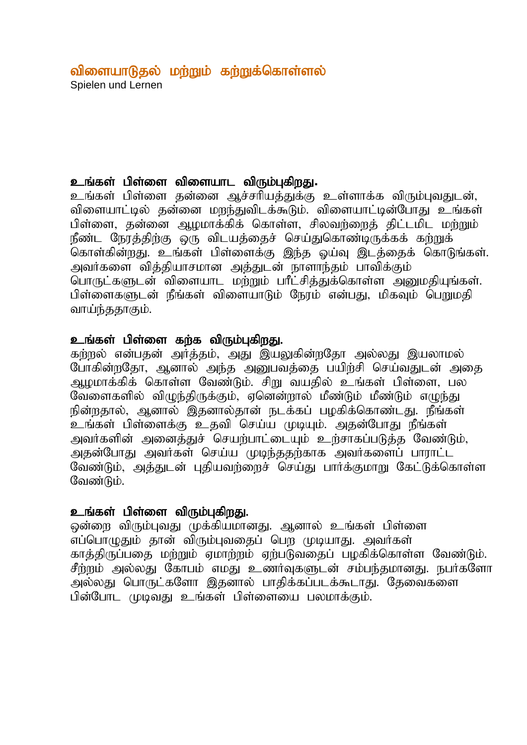# விளையாடுதல் மற்றும் கற்றுக்கொள்ளல்

Spielen und Lernen

#### உங்கள் பிள்ளை விளையாட விரும்புகி<u>றது</u>.

உங்கள் பிள்ளை தன்னை ஆச்சரியத்துக்கு உள்ளாக்க விரும்புவதுடன், விளையாட்டில் தன்னை மறந்துவிடக்கூடும். விளையாட்டின்போது உங்கள் பிள்ளை, தன்னை ஆழமாக்கிக் கொள்ள, சிலவற்றைத் திட்டமிட மற்றும் நீண்ட நேரத்திற்கு ஒரு விடயத்தைச் செய்துகொண்டிருக்கக் கற்றுக் கொள்கின்றது. உங்கள் பிள்ளைக்கு இந்த ஓய்வு இடத்தைக் கொடுங்கள். அவர்களை வித்தியாசமான அத்துடன் நாளாந்தம் பாவிக்கும் பொருட்களுடன் விளையாட மற்றும் பரீட்சித்துக்கொள்ள அறுமதியுங்கள். பிள்ளைகளுடன் நீங்கள் விளையாடும் நேரம் என்பது, மிகவும் பெறுமதி வாய்ந்ததாகும்.

### உங்கள் பிள்ளை கற்க விரும்புகிறது.

கர்றல் என்பதன் அர்த்தம், அது இயலுகின்றதோ அல்லது இயலாமல் போகின்றதோ, ஆனால் அந்த அனுபவத்தை பயிற்சி செய்வதுடன் அதை ஆழமாக்கிக் கொள்ள வேண்டும். சிறு வயதில் உங்கள் பிள்ளை, பல வேளைகளில் விழுந்திருக்கும், ஏனென்றால் மீண்டும் மீண்டும் எழுந்து நின்றதால், ஆனால் இதனால்தான் நடக்கப் பழகிக்கொண்டது. நீங்கள் உங்கள் பிள்ளைக்கு உதவி செய்ய முடியும். அதன்போது நீங்கள் அவர்களின் அனைத்துச் செயற்பாட்டையும் உற்சாகப்படுத்த வேண்டும், அதன்போது அவர்கள் செய்ய முடிந்ததற்காக அவர்களைப் பாராட்ட வேண்டும், அத்துடன் புதியவற்றைச் செய்து பார்க்குமாறு கேட்டுக்கொள்ள வேண்டும்.

# உங்கள் பிள்ளை விரும்புகிறது.

ஒன்றை விரும்புவது முக்கியமானது. ஆனால் உங்கள் பிள்ளை எப்பொழுதும் தான் விரும்புவதைப் பெற முடியாது. அவர்கள் காத்திருப்பதை மற்றும் ஏமாற்றம் ஏற்படுவதைப் பழகிக்கொள்ள வேண்டும். சீற்றம் அல்லது கோபம் எமது உணர்வுகளுடன் சம்பந்தமானது. நபர்களோ ு;<br>அல்லது பொருட்களோ இதனால் பாதிக்கப்படக்கூடாது. தேவைகளை பின்போட முடிவது உங்கள் பிள்ளையை பலமாக்கும்.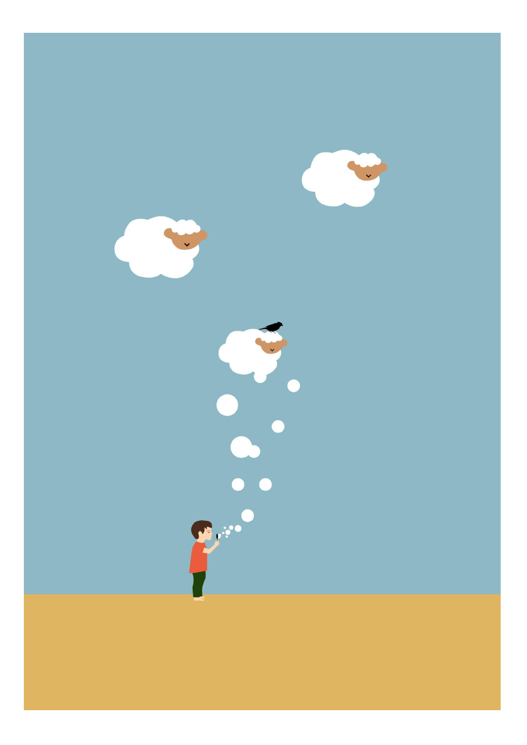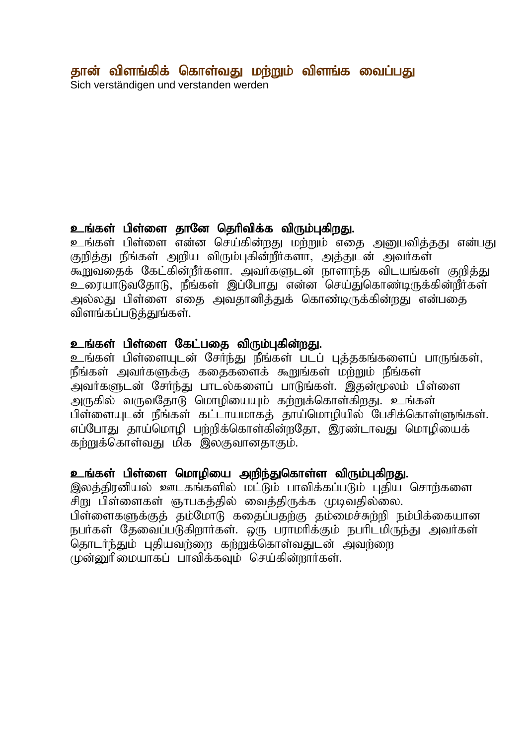Sich verständigen und verstanden werden

# உங்கள் பிள்ளை தானே தெரிவிக்க விரும்புகிறது.

உங்கள் பிள்ளை என்ன செய்கின்றது மற்றும் எதை அனுபவித்தது என்பது குறித்து நீங்கள் அறிய விரும்புகின்றீர்களா, அத்துடன் அவர்கள் \$Wtijf; Nfl;fpd;wPHfsh. mtHfSld ; ehshe;j tplaq;fs; Fwpj;J உரையாடுவதோடு, நீங்கள் இப்போது என்ன செய்துகொண்டிருக்கின்றீர்கள் அல்லது பிள்ளை எதை அவதானித்துக் கொண்டிருக்கின்றது என்பதை விளங்கப்படுத்துங்கள்.

# உங்கள் பிள்ளை கேட்பதை விரும்புகின்றது.

உங்கள் பிள்ளையுடன் சேர்ந்து நீங்கள் படப் புத்தகங்களைப் பாருங்கள், நீங்கள் அவர்களுக்கு கதைகளைக் கூறுங்கள் மற்றும் நீங்கள் .<br>அவர்களுடன் சேர்ந்து பாடல்களைப் பாடுங்கள். இதன்மூலம் பிள்ளை அருகில் வருவதோடு மொழியையும் கற்றுக்கொள்கிறது. உங்கள் பிள்ளையுடன் நீங்கள் கட்டாயமாகக் காய்மொழியில் பேசிக்கொள்ளுங்கள். எப்போது தாய்மொழி பற்றிக்கொள்கின்றதோ, இரண்டாவது மொழியைக் கற்றுக்கொள்வது மிக இலகுவானதாகும்.

# உங்கள் பிள்ளை மொழியை அறிந்துகொள்ள விரும்புகிறது.

இலத்திரனியல் ஊடகங்களில் மட்டும் பாவிக்கப்படும் புதிய சொற்களை சிறு பிள்ளைகள் ஞாபகத்தில் வைத்திருக்க முடிவதில்லை. பிள்ளைகளுக்குத் தம்மோடு கதைப்பதற்கு தம்மைச்சுற்றி நம்பிக்கையான நபர்கள் தேவைப்படுகிறார்கள். ஒரு பராமரிக்கும் நபரிடமிருந்து அவர்கள் .<br>தொடர்ந்தும் புதியவற்றை கற்றுக்கொள்வதுடன் அவற்றை முன்னரிமையாகப் பாவிக்கவம் செய்கின்றார்கள்.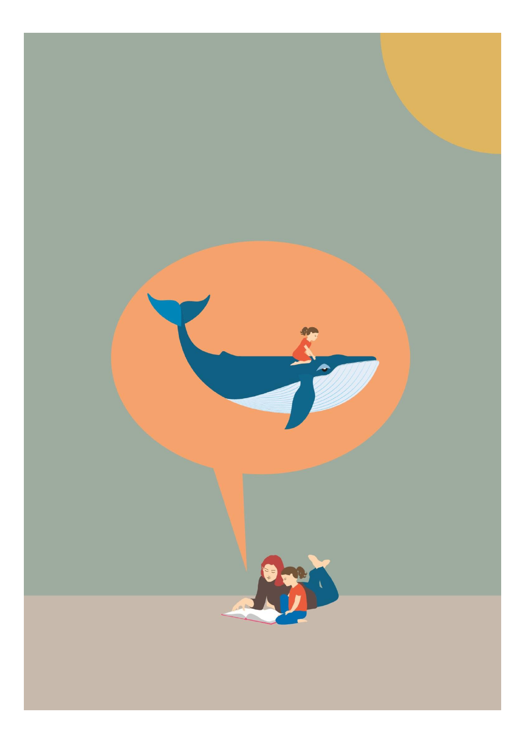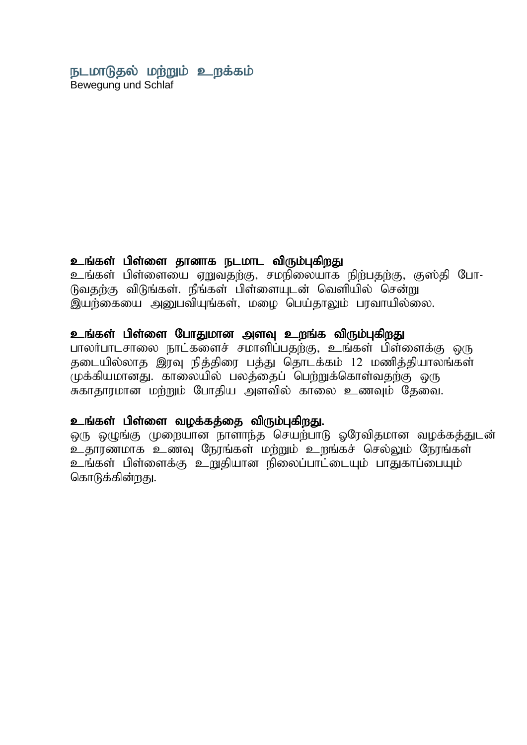நடமாடுதல் மற்றும் உறக்கம் Bewegung und Schlaf

#### உங்கள் பிள்ளை தானாக நடமாட விரும்புகிறது

உங்கள் பிள்ளையை ஏறுவதற்கு, சமநிலையாக நிற்பதற்கு, குஸ்தி போ-டுவதற்கு விடுங்கள். நீங்கள் பிள்ளையுடன் வெளியில் சென்று ,<br>இயற்கையை அனுபவியுங்கள், மழை பெய்தாலும் பரவாயில்லை.

# உங்கள் பிள்ளை போதுமான அளவு உறங்க விரும்புகிறது

பாலா்பாடசாலை நாட்களைச் சமாளிப்பதற்கு, உங்கள் பிள்ளைக்கு ஒரு தடையில்லாத இரவு நித்திரை பத்து தொடக்கம் 12 மணித்தியாலங்கள் .<br>முக்கியமானது. காலையில் பலத்தைப் பெற்றுக்கொள்வதற்கு ஒரு சுகாதாரமான மற்றும் போதிய அளவில் காலை உணவும் தேவை.

#### உங்கள் பிள்ளை வழக்கத்தை விரும்புகிறது.

ஒரு ஒழுங்கு முறையான நாளாந்த செயற்பாடு ஓரேவிதமான வழக்கத்துடன் உதாரணமாக உணவு நேரங்கள் மற்றும் உறங்கச் செல்லும் நேரங்கள் உங்கள் பிள்ளைக்கு உறுதியான நிலைப்பாட்டையும் பாதுகாப்பையும் கொடுக்கின்றது.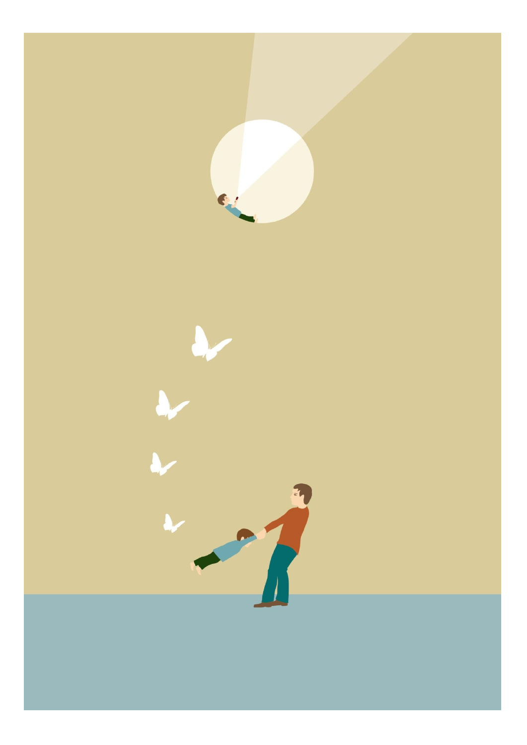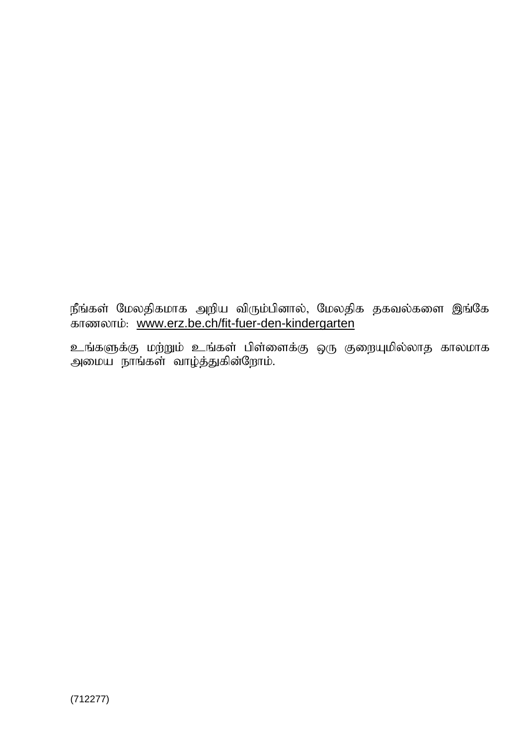நீங்கள் மேலதிகமாக அறிய விரும்பினால், மேலதிக தகவல்களை இங்கே .<br>காணலாம்: [www.erz.be.ch/fit-](http://www.erz.be.ch/fit)fuer-den-kindergarten

உங்களுக்கு மற்றும் உங்கள் பிள்ளைக்கு ஒரு குறையுமில்லாத காலமாக அமைய நாங்கள் வாழ்த்துகின்றோம்.